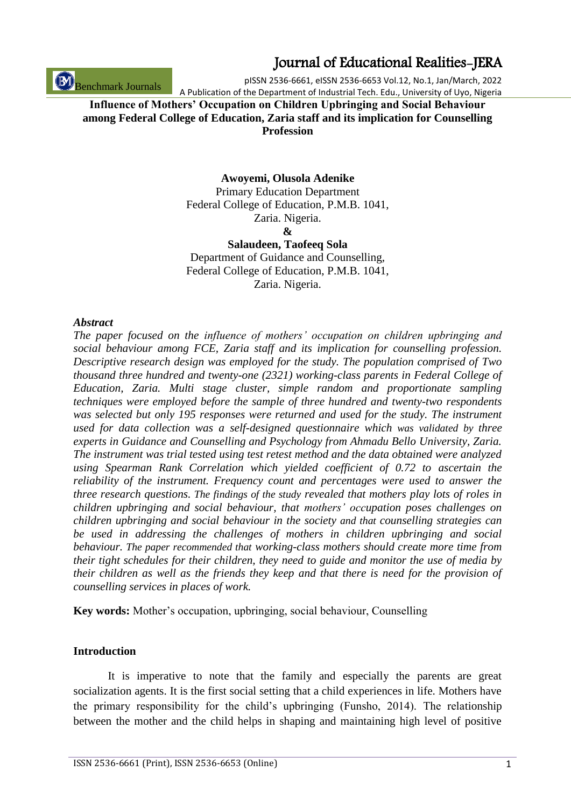Benchmark Journals

## Journal of Educational Realities-JERA

pISSN 2536-6661, eISSN 2536-6653 Vol.12, No.1, Jan/March, 2022 A Publication of the Department of Industrial Tech. Edu., University of Uyo, Nigeria

## **Influence of Mothers' Occupation on Children Upbringing and Social Behaviour among Federal College of Education, Zaria staff and its implication for Counselling Profession**

**Awoyemi, Olusola Adenike**

Primary Education Department Federal College of Education, P.M.B. 1041, Zaria. Nigeria. **&**

**Salaudeen, Taofeeq Sola** Department of Guidance and Counselling, Federal College of Education, P.M.B. 1041, Zaria. Nigeria.

#### *Abstract*

*The paper focused on the influence of mothers' occupation on children upbringing and social behaviour among FCE, Zaria staff and its implication for counselling profession. Descriptive research design was employed for the study. The population comprised of Two thousand three hundred and twenty-one (2321) working-class parents in Federal College of Education, Zaria. Multi stage cluster, simple random and proportionate sampling techniques were employed before the sample of three hundred and twenty-two respondents was selected but only 195 responses were returned and used for the study. The instrument used for data collection was a self-designed questionnaire which was validated by three experts in Guidance and Counselling and Psychology from Ahmadu Bello University, Zaria. The instrument was trial tested using test retest method and the data obtained were analyzed using Spearman Rank Correlation which yielded coefficient of 0.72 to ascertain the reliability of the instrument. Frequency count and percentages were used to answer the three research questions. The findings of the study revealed that mothers play lots of roles in children upbringing and social behaviour, that mothers' occupation poses challenges on children upbringing and social behaviour in the society and that counselling strategies can be used in addressing the challenges of mothers in children upbringing and social behaviour. The paper recommended that working-class mothers should create more time from their tight schedules for their children, they need to guide and monitor the use of media by their children as well as the friends they keep and that there is need for the provision of counselling services in places of work.*

**Key words:** Mother's occupation, upbringing, social behaviour, Counselling

### **Introduction**

It is imperative to note that the family and especially the parents are great socialization agents. It is the first social setting that a child experiences in life. Mothers have the primary responsibility for the child's upbringing (Funsho, 2014). The relationship between the mother and the child helps in shaping and maintaining high level of positive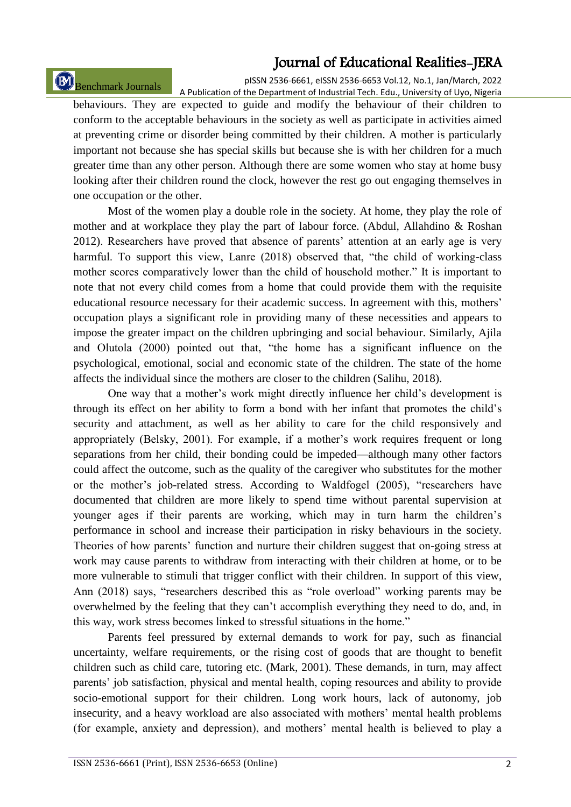# Benchmark Journals

pISSN 2536-6661, eISSN 2536-6653 Vol.12, No.1, Jan/March, 2022 A Publication of the Department of Industrial Tech. Edu., University of Uyo, Nigeria

behaviours. They are expected to guide and modify the behaviour of their children to conform to the acceptable behaviours in the society as well as participate in activities aimed at preventing crime or disorder being committed by their children. A mother is particularly important not because she has special skills but because she is with her children for a much greater time than any other person. Although there are some women who stay at home busy looking after their children round the clock, however the rest go out engaging themselves in one occupation or the other.

Most of the women play a double role in the society. At home, they play the role of mother and at workplace they play the part of labour force. (Abdul, Allahdino & Roshan 2012). Researchers have proved that absence of parents' attention at an early age is very harmful. To support this view, Lanre (2018) observed that, "the child of working-class mother scores comparatively lower than the child of household mother." It is important to note that not every child comes from a home that could provide them with the requisite educational resource necessary for their academic success. In agreement with this, mothers' occupation plays a significant role in providing many of these necessities and appears to impose the greater impact on the children upbringing and social behaviour. Similarly, Ajila and Olutola (2000) pointed out that, "the home has a significant influence on the psychological, emotional, social and economic state of the children. The state of the home affects the individual since the mothers are closer to the children (Salihu, 2018).

One way that a mother's work might directly influence her child's development is through its effect on her ability to form a bond with her infant that promotes the child's security and attachment, as well as her ability to care for the child responsively and appropriately (Belsky, 2001). For example, if a mother's work requires frequent or long separations from her child, their bonding could be impeded—although many other factors could affect the outcome, such as the quality of the caregiver who substitutes for the mother or the mother's job-related stress. According to Waldfogel (2005), "researchers have documented that children are more likely to spend time without parental supervision at younger ages if their parents are working, which may in turn harm the children's performance in school and increase their participation in risky behaviours in the society. Theories of how parents' function and nurture their children suggest that on-going stress at work may cause parents to withdraw from interacting with their children at home, or to be more vulnerable to stimuli that trigger conflict with their children. In support of this view, Ann (2018) says, "researchers described this as "role overload" working parents may be overwhelmed by the feeling that they can't accomplish everything they need to do, and, in this way, work stress becomes linked to stressful situations in the home."

Parents feel pressured by external demands to work for pay, such as financial uncertainty, welfare requirements, or the rising cost of goods that are thought to benefit children such as child care, tutoring etc. (Mark, 2001). These demands, in turn, may affect parents' job satisfaction, physical and mental health, coping resources and ability to provide socio-emotional support for their children. Long work hours, lack of autonomy, job insecurity, and a heavy workload are also associated with mothers' mental health problems (for example, anxiety and depression), and mothers' mental health is believed to play a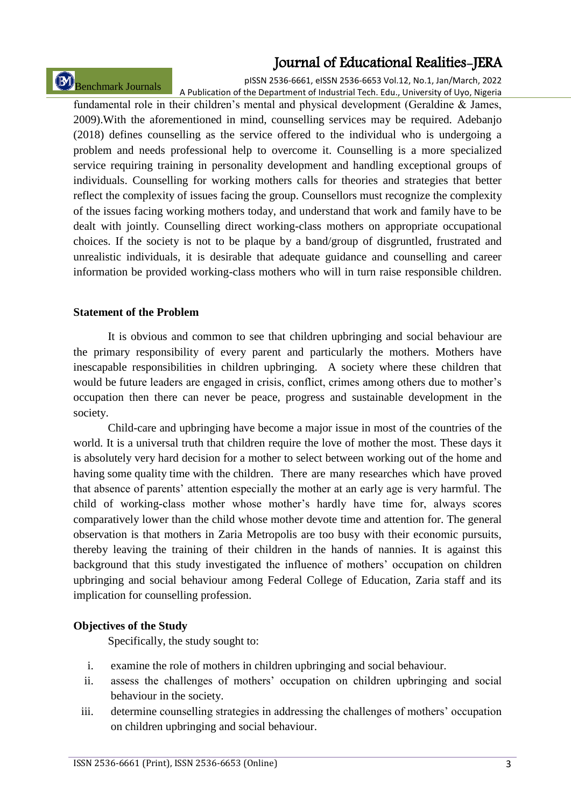# Benchmark Journals

pISSN 2536-6661, eISSN 2536-6653 Vol.12, No.1, Jan/March, 2022 A Publication of the Department of Industrial Tech. Edu., University of Uyo, Nigeria

fundamental role in their children's mental and physical development (Geraldine & James, 2009).With the aforementioned in mind, counselling services may be required. Adebanjo (2018) defines counselling as the service offered to the individual who is undergoing a problem and needs professional help to overcome it. Counselling is a more specialized service requiring training in personality development and handling exceptional groups of individuals. Counselling for working mothers calls for theories and strategies that better reflect the complexity of issues facing the group. Counsellors must recognize the complexity of the issues facing working mothers today, and understand that work and family have to be dealt with jointly. Counselling direct working-class mothers on appropriate occupational choices. If the society is not to be plaque by a band/group of disgruntled, frustrated and unrealistic individuals, it is desirable that adequate guidance and counselling and career information be provided working-class mothers who will in turn raise responsible children.

### **Statement of the Problem**

It is obvious and common to see that children upbringing and social behaviour are the primary responsibility of every parent and particularly the mothers. Mothers have inescapable responsibilities in children upbringing. A society where these children that would be future leaders are engaged in crisis, conflict, crimes among others due to mother's occupation then there can never be peace, progress and sustainable development in the society.

Child-care and upbringing have become a major issue in most of the countries of the world. It is a universal truth that children require the love of mother the most. These days it is absolutely very hard decision for a mother to select between working out of the home and having some quality time with the children. There are many researches which have proved that absence of parents' attention especially the mother at an early age is very harmful. The child of working-class mother whose mother's hardly have time for, always scores comparatively lower than the child whose mother devote time and attention for. The general observation is that mothers in Zaria Metropolis are too busy with their economic pursuits, thereby leaving the training of their children in the hands of nannies. It is against this background that this study investigated the influence of mothers' occupation on children upbringing and social behaviour among Federal College of Education, Zaria staff and its implication for counselling profession.

## **Objectives of the Study**

Specifically, the study sought to:

- i. examine the role of mothers in children upbringing and social behaviour.
- ii. assess the challenges of mothers' occupation on children upbringing and social behaviour in the society.
- iii. determine counselling strategies in addressing the challenges of mothers' occupation on children upbringing and social behaviour.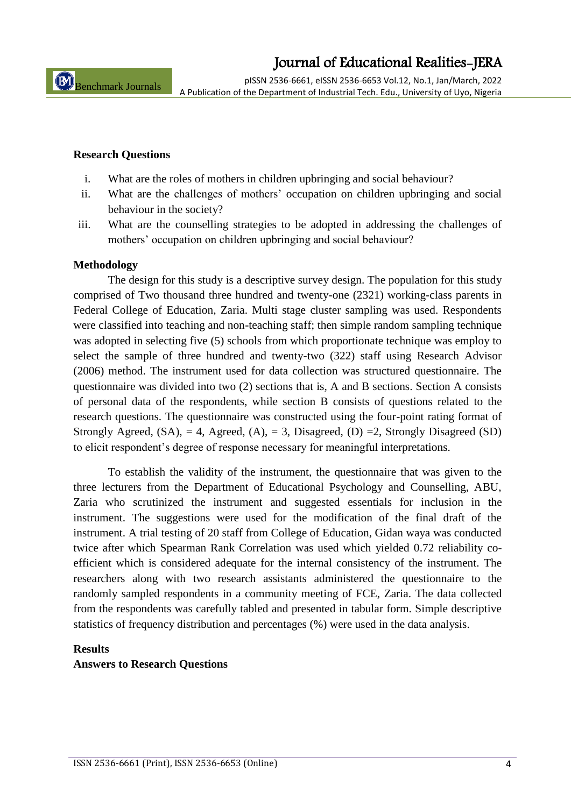pISSN 2536-6661, eISSN 2536-6653 Vol.12, No.1, Jan/March, 2022 A Publication of the Department of Industrial Tech. Edu., University of Uyo, Nigeria

#### **Research Questions**

- i. What are the roles of mothers in children upbringing and social behaviour?
- ii. What are the challenges of mothers' occupation on children upbringing and social behaviour in the society?
- iii. What are the counselling strategies to be adopted in addressing the challenges of mothers' occupation on children upbringing and social behaviour?

#### **Methodology**

The design for this study is a descriptive survey design. The population for this study comprised of Two thousand three hundred and twenty-one (2321) working-class parents in Federal College of Education, Zaria. Multi stage cluster sampling was used. Respondents were classified into teaching and non-teaching staff; then simple random sampling technique was adopted in selecting five (5) schools from which proportionate technique was employ to select the sample of three hundred and twenty-two (322) staff using Research Advisor (2006) method. The instrument used for data collection was structured questionnaire. The questionnaire was divided into two (2) sections that is, A and B sections. Section A consists of personal data of the respondents, while section B consists of questions related to the research questions. The questionnaire was constructed using the four-point rating format of Strongly Agreed,  $(SA)$ , = 4, Agreed,  $(A)$ , = 3, Disagreed,  $(D)$  = 2, Strongly Disagreed  $(SD)$ to elicit respondent's degree of response necessary for meaningful interpretations.

To establish the validity of the instrument, the questionnaire that was given to the three lecturers from the Department of Educational Psychology and Counselling, ABU, Zaria who scrutinized the instrument and suggested essentials for inclusion in the instrument. The suggestions were used for the modification of the final draft of the instrument. A trial testing of 20 staff from College of Education, Gidan waya was conducted twice after which Spearman Rank Correlation was used which yielded 0.72 reliability coefficient which is considered adequate for the internal consistency of the instrument. The researchers along with two research assistants administered the questionnaire to the randomly sampled respondents in a community meeting of FCE, Zaria. The data collected from the respondents was carefully tabled and presented in tabular form. Simple descriptive statistics of frequency distribution and percentages (%) were used in the data analysis.

#### **Results**

#### **Answers to Research Questions**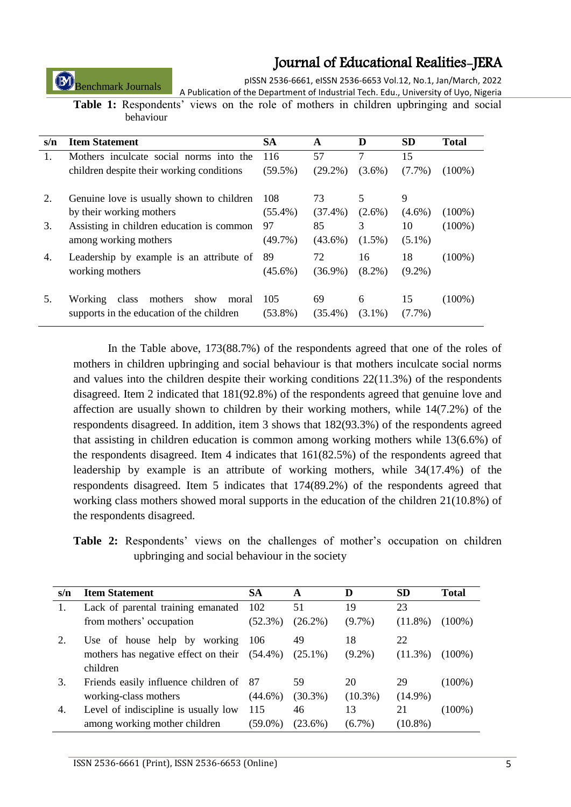Benchmark Journals

pISSN 2536-6661, eISSN 2536-6653 Vol.12, No.1, Jan/March, 2022 A Publication of the Department of Industrial Tech. Edu., University of Uyo, Nigeria

**Table 1:** Respondents' views on the role of mothers in children upbringing and social behaviour

| s/n | <b>Item Statement</b>                                                                            | <b>SA</b>         | A                | D              | <b>SD</b>       | <b>Total</b> |
|-----|--------------------------------------------------------------------------------------------------|-------------------|------------------|----------------|-----------------|--------------|
| 1.  | Mothers inculcate social norms into the                                                          | 116               | 57               | 7              | 15              |              |
|     | children despite their working conditions                                                        | $(59.5\%)$        | $(29.2\%)$       | $(3.6\%)$      | $(7.7\%)$       | $(100\%)$    |
| 2.  | Genuine love is usually shown to children                                                        | 108               | 73               | 5              | 9               |              |
|     | by their working mothers                                                                         | $(55.4\%)$        | $(37.4\%)$       | $(2.6\%)$      | $(4.6\%)$       | $(100\%)$    |
| 3.  | Assisting in children education is common                                                        | 97                | 85               | 3              | 10              | $(100\%)$    |
|     | among working mothers                                                                            | $(49.7\%)$        | $(43.6\%)$       | $(1.5\%)$      | $(5.1\%)$       |              |
| 4.  | Leadership by example is an attribute of                                                         | 89                | 72               | 16             | 18              | $(100\%)$    |
|     | working mothers                                                                                  | $(45.6\%)$        | $(36.9\%)$       | $(8.2\%)$      | $(9.2\%)$       |              |
| 5.  | mothers<br>show<br><b>Working</b><br>class<br>moral<br>supports in the education of the children | 105<br>$(53.8\%)$ | 69<br>$(35.4\%)$ | 6<br>$(3.1\%)$ | 15<br>$(7.7\%)$ | $(100\%)$    |

In the Table above, 173(88.7%) of the respondents agreed that one of the roles of mothers in children upbringing and social behaviour is that mothers inculcate social norms and values into the children despite their working conditions  $22(11.3%)$  of the respondents disagreed. Item 2 indicated that 181(92.8%) of the respondents agreed that genuine love and affection are usually shown to children by their working mothers, while 14(7.2%) of the respondents disagreed. In addition, item 3 shows that 182(93.3%) of the respondents agreed that assisting in children education is common among working mothers while 13(6.6%) of the respondents disagreed. Item 4 indicates that 161(82.5%) of the respondents agreed that leadership by example is an attribute of working mothers, while 34(17.4%) of the respondents disagreed. Item 5 indicates that 174(89.2%) of the respondents agreed that working class mothers showed moral supports in the education of the children 21(10.8%) of the respondents disagreed.

**Table 2:** Respondents' views on the challenges of mother's occupation on children upbringing and social behaviour in the society

| s/n | <b>Item Statement</b>                           | <b>SA</b>  | A          | D          | <b>SD</b>  | Total     |
|-----|-------------------------------------------------|------------|------------|------------|------------|-----------|
|     | Lack of parental training emanated              | 102        | 51         | 19         | 23         |           |
|     | from mothers' occupation                        | (52.3%)    | $(26.2\%)$ | $(9.7\%)$  | $(11.8\%)$ | (100%)    |
|     | Use of house help by working                    | 106        | 49         | 18         | 22         |           |
|     | mothers has negative effect on their $(54.4\%)$ |            | $(25.1\%)$ | $(9.2\%)$  | $(11.3\%)$ | (100%)    |
|     | children                                        |            |            |            |            |           |
| 3.  | Friends easily influence children of 87         |            | 59         | 20         | 29         | $(100\%)$ |
|     | working-class mothers                           | $(44.6\%)$ | $(30.3\%)$ | $(10.3\%)$ | $(14.9\%)$ |           |
| 4.  | Level of indiscipline is usually low            | 115        | 46         | 13         | 21         | $(100\%)$ |
|     | among working mother children                   | $(59.0\%)$ | $(23.6\%)$ | $(6.7\%)$  | $(10.8\%)$ |           |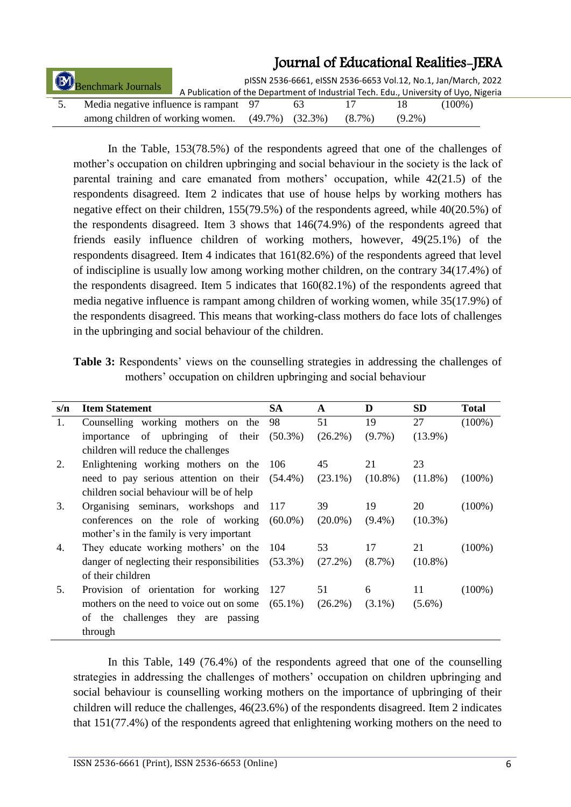| <b>B</b><br>Benchmark Journals |                                        | A Publication of the Department of Industrial Tech. Edu., University of Uyo, Nigeria |                       |           |           | pISSN 2536-6661, eISSN 2536-6653 Vol.12, No.1, Jan/March, 2022 |  |
|--------------------------------|----------------------------------------|--------------------------------------------------------------------------------------|-----------------------|-----------|-----------|----------------------------------------------------------------|--|
|                                | Media negative influence is rampant 97 |                                                                                      | 65.                   |           |           | $(100\%)$                                                      |  |
|                                | among children of working women.       |                                                                                      | $(49.7\%)$ $(32.3\%)$ | $(8.7\%)$ | $(9.2\%)$ |                                                                |  |

In the Table, 153(78.5%) of the respondents agreed that one of the challenges of mother's occupation on children upbringing and social behaviour in the society is the lack of parental training and care emanated from mothers' occupation, while 42(21.5) of the respondents disagreed. Item 2 indicates that use of house helps by working mothers has negative effect on their children, 155(79.5%) of the respondents agreed, while 40(20.5%) of the respondents disagreed. Item 3 shows that 146(74.9%) of the respondents agreed that friends easily influence children of working mothers, however, 49(25.1%) of the respondents disagreed. Item 4 indicates that 161(82.6%) of the respondents agreed that level of indiscipline is usually low among working mother children, on the contrary 34(17.4%) of the respondents disagreed. Item 5 indicates that 160(82.1%) of the respondents agreed that media negative influence is rampant among children of working women, while 35(17.9%) of the respondents disagreed. This means that working-class mothers do face lots of challenges in the upbringing and social behaviour of the children.

| <b>Table 3:</b> Respondents' views on the counselling strategies in addressing the challenges of |  |  |  |  |  |
|--------------------------------------------------------------------------------------------------|--|--|--|--|--|
| mothers' occupation on children upbringing and social behaviour                                  |  |  |  |  |  |

| s/n | <b>Item Statement</b>                               | <b>SA</b>  | A          | D          | SD         | <b>Total</b> |
|-----|-----------------------------------------------------|------------|------------|------------|------------|--------------|
| 1.  | Counselling working mothers on the                  | 98         | 51         | 19         | 27         | $(100\%)$    |
|     | importance of upbringing of their                   | $(50.3\%)$ | $(26.2\%)$ | $(9.7\%)$  | $(13.9\%)$ |              |
|     | children will reduce the challenges                 |            |            |            |            |              |
| 2.  | Enlightening working mothers on the                 | 106        | 45         | 21         | 23         |              |
|     | need to pay serious attention on their (54.4%)      |            | $(23.1\%)$ | $(10.8\%)$ | $(11.8\%)$ | $(100\%)$    |
|     | children social behaviour will be of help           |            |            |            |            |              |
| 3.  | Organising seminars, workshops and                  | -117       | 39         | 19         | 20         | $(100\%)$    |
|     | conferences on the role of working                  | $(60.0\%)$ | $(20.0\%)$ | $(9.4\%)$  | $(10.3\%)$ |              |
|     | mother's in the family is very important            |            |            |            |            |              |
| 4.  | They educate working mothers' on the                | -104       | 53         | 17         | 21         | $(100\%)$    |
|     | danger of neglecting their responsibilities         | $(53.3\%)$ | $(27.2\%)$ | $(8.7\%)$  | $(10.8\%)$ |              |
|     | of their children                                   |            |            |            |            |              |
| 5.  | Provision of orientation for working                | - 127      | 51         | 6          | 11         | $(100\%)$    |
|     | mothers on the need to voice out on some $(65.1\%)$ |            | $(26.2\%)$ | $(3.1\%)$  | $(5.6\%)$  |              |
|     | of the challenges they are<br>passing               |            |            |            |            |              |
|     | through                                             |            |            |            |            |              |

In this Table, 149 (76.4%) of the respondents agreed that one of the counselling strategies in addressing the challenges of mothers' occupation on children upbringing and social behaviour is counselling working mothers on the importance of upbringing of their children will reduce the challenges, 46(23.6%) of the respondents disagreed. Item 2 indicates that 151(77.4%) of the respondents agreed that enlightening working mothers on the need to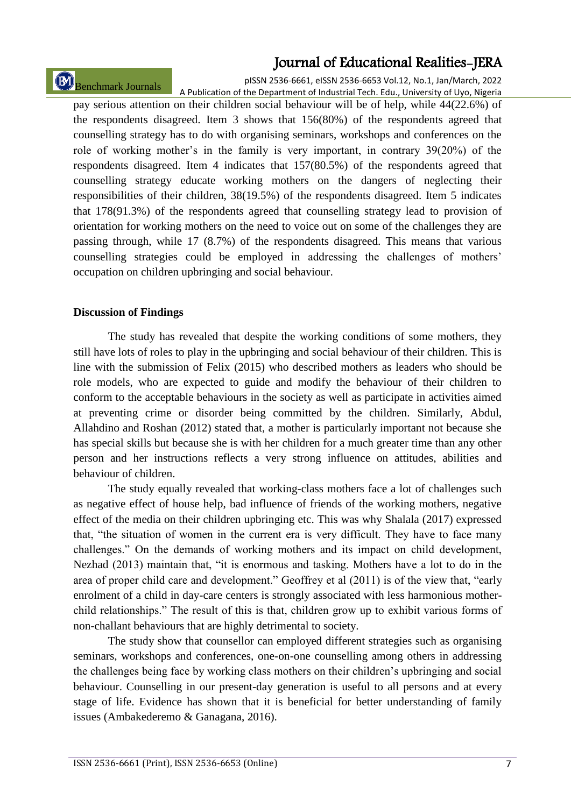# Benchmark Journals

pISSN 2536-6661, eISSN 2536-6653 Vol.12, No.1, Jan/March, 2022 A Publication of the Department of Industrial Tech. Edu., University of Uyo, Nigeria

pay serious attention on their children social behaviour will be of help, while 44(22.6%) of the respondents disagreed. Item 3 shows that 156(80%) of the respondents agreed that counselling strategy has to do with organising seminars, workshops and conferences on the role of working mother's in the family is very important, in contrary 39(20%) of the respondents disagreed. Item 4 indicates that 157(80.5%) of the respondents agreed that counselling strategy educate working mothers on the dangers of neglecting their responsibilities of their children, 38(19.5%) of the respondents disagreed. Item 5 indicates that 178(91.3%) of the respondents agreed that counselling strategy lead to provision of orientation for working mothers on the need to voice out on some of the challenges they are passing through, while 17 (8.7%) of the respondents disagreed. This means that various counselling strategies could be employed in addressing the challenges of mothers' occupation on children upbringing and social behaviour.

### **Discussion of Findings**

The study has revealed that despite the working conditions of some mothers, they still have lots of roles to play in the upbringing and social behaviour of their children. This is line with the submission of Felix (2015) who described mothers as leaders who should be role models, who are expected to guide and modify the behaviour of their children to conform to the acceptable behaviours in the society as well as participate in activities aimed at preventing crime or disorder being committed by the children. Similarly, Abdul, Allahdino and Roshan (2012) stated that, a mother is particularly important not because she has special skills but because she is with her children for a much greater time than any other person and her instructions reflects a very strong influence on attitudes, abilities and behaviour of children.

The study equally revealed that working-class mothers face a lot of challenges such as negative effect of house help, bad influence of friends of the working mothers, negative effect of the media on their children upbringing etc. This was why Shalala (2017) expressed that, "the situation of women in the current era is very difficult. They have to face many challenges." On the demands of working mothers and its impact on child development, Nezhad (2013) maintain that, "it is enormous and tasking. Mothers have a lot to do in the area of proper child care and development." Geoffrey et al (2011) is of the view that, "early enrolment of a child in day-care centers is strongly associated with less harmonious motherchild relationships." The result of this is that, children grow up to exhibit various forms of non-challant behaviours that are highly detrimental to society.

The study show that counsellor can employed different strategies such as organising seminars, workshops and conferences, one-on-one counselling among others in addressing the challenges being face by working class mothers on their children's upbringing and social behaviour. Counselling in our present-day generation is useful to all persons and at every stage of life. Evidence has shown that it is beneficial for better understanding of family issues (Ambakederemo & Ganagana, 2016).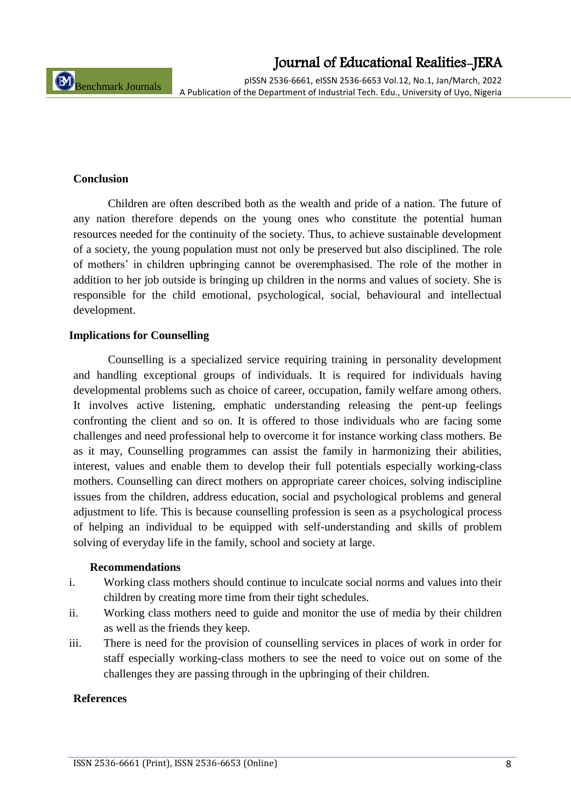pISSN 2536-6661, eISSN 2536-6653 Vol.12, No.1, Jan/March, 2022 A Publication of the Department of Industrial Tech. Edu., University of Uyo, Nigeria

#### **Conclusion**

Children are often described both as the wealth and pride of a nation. The future of any nation therefore depends on the young ones who constitute the potential human resources needed for the continuity of the society. Thus, to achieve sustainable development of a society, the young population must not only be preserved but also disciplined. The role of mothers' in children upbringing cannot be overemphasised. The role of the mother in addition to her job outside is bringing up children in the norms and values of society. She is responsible for the child emotional, psychological, social, behavioural and intellectual development.

#### **Implications for Counselling**

Counselling is a specialized service requiring training in personality development and handling exceptional groups of individuals. It is required for individuals having developmental problems such as choice of career, occupation, family welfare among others. It involves active listening, emphatic understanding releasing the pent-up feelings confronting the client and so on. It is offered to those individuals who are facing some challenges and need professional help to overcome it for instance working class mothers. Be as it may, Counselling programmes can assist the family in harmonizing their abilities, interest, values and enable them to develop their full potentials especially working-class mothers. Counselling can direct mothers on appropriate career choices, solving indiscipline issues from the children, address education, social and psychological problems and general adjustment to life. This is because counselling profession is seen as a psychological process of helping an individual to be equipped with self-understanding and skills of problem solving of everyday life in the family, school and society at large.

#### **Recommendations**

- i. Working class mothers should continue to inculcate social norms and values into their children by creating more time from their tight schedules.
- ii. Working class mothers need to guide and monitor the use of media by their children as well as the friends they keep.
- iii. There is need for the provision of counselling services in places of work in order for staff especially working-class mothers to see the need to voice out on some of the challenges they are passing through in the upbringing of their children.

#### **References**